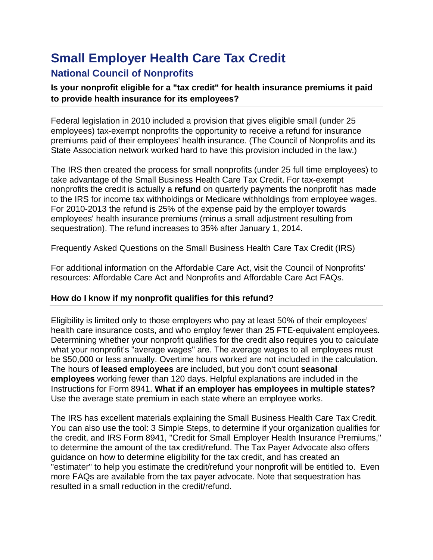# **Small Employer Health Care Tax Credit**

# **National Council of Nonprofits**

## **Is your nonprofit eligible for a "tax credit" for health insurance premiums it paid to provide health insurance for its employees?**

Federal legislation in 2010 included a provision that gives eligible small (under 25 employees) tax-exempt nonprofits the opportunity to receive a refund for insurance premiums paid of their employees' health insurance. (The Council of Nonprofits and its State Association network worked hard to have this provision included in the law.)

The IRS then created the process for small nonprofits (under 25 full time employees) to take advantage of the [Small Business Health Care Tax Credit. F](http://www.irs.gov/uac/Small-Business-Health-Care-Tax-Credit-for-Small-Employers)or tax-exempt nonprofits the credit is actually a **refund** on quarterly payments the nonprofit has made to the IRS for income tax withholdings or Medicare withholdings from employee wages. For 2010-2013 the refund is 25% of the expense paid by the employer towards employees' health insurance premiums (minus a small adjustment resulting from sequestration). The refund increases to 35% after January 1, 2014.

[Frequently Asked Questions](http://www.irs.gov/uac/Small-Business-Health-Care-Tax-Credit:-Questions-and-Answers) on the Small Business Health Care Tax Credit (IRS)

For additional information on the Affordable Care Act, visit the Council of Nonprofits' resources: [Affordable Care Act and Nonprofits](http://www.councilofnonprofits.org/how-will-affordable-care-act-impact-nonprofit) and [Affordable Care Act FAQs.](http://www.councilofnonprofits.org/resources/resources-topic/affordable-care-act-faqs#refund)

### **How do I know if my nonprofit qualifies for this refund?**

Eligibility is limited only to those employers who pay at least 50% of their employees' health care insurance costs, and who employ fewer than 25 [FTE-equivalent](http://www.taxpayeradvocate.irs.gov/calculator/Instructions/FTEs.htm) employees*.*  Determining whether your nonprofit qualifies for the credit also requires you to calculate what your nonprofit's ["average wages"](http://www.taxpayeradvocate.irs.gov/calculator/Instructions/AvgWages.htm) are. The average wages to all employees must be \$50,000 or less annually. Overtime hours worked are not included in the calculation. The hours of **leased employees** are included, but you don't count **seasonal employees** working fewer than 120 days. Helpful explanations are included in the [Instructions for Form 8941.](http://www.irs.gov/pub/irs-pdf/i8941.pdf) **What if an employer has employees in multiple states?** Use the average state premium in each state where an employee works.

The IRS has excellent materials explaining the [Small Business Health Care Tax Credit.](http://www.irs.gov/uac/Small-Business-Health-Care-Tax-Credit-for-Small-Employers) You can also use the tool: [3 Simple Steps, t](http://www.irs.gov/pub/irs-utl/3_simple_steps.pdf)o determine if your organization qualifies for the credit, and IRS [Form 8941,](http://www.irs.gov/pub/irs-pdf/f8941.pdf) "Credit for Small Employer Health Insurance Premiums," to determine the amount of the tax credit/refund. The Tax Payer Advocate also offers guidance [on how to determine eligibility](http://www.taxpayeradvocate.irs.gov/calculator/Instructions/Requirements.htm) for the tax credit, and has created an ["estimater"](http://www.taxpayeradvocate.irs.gov/calculator/Instructions/TheEstimator.htm) to help you estimate the credit/refund your nonprofit will be entitled to. Even [more FAQs](http://www.taxpayeradvocate.irs.gov/calculator/SBHCTC-FAQ.htm) are available from the tax payer advocate. Note that sequestration has resulted in a small reduction in the credit/refund.